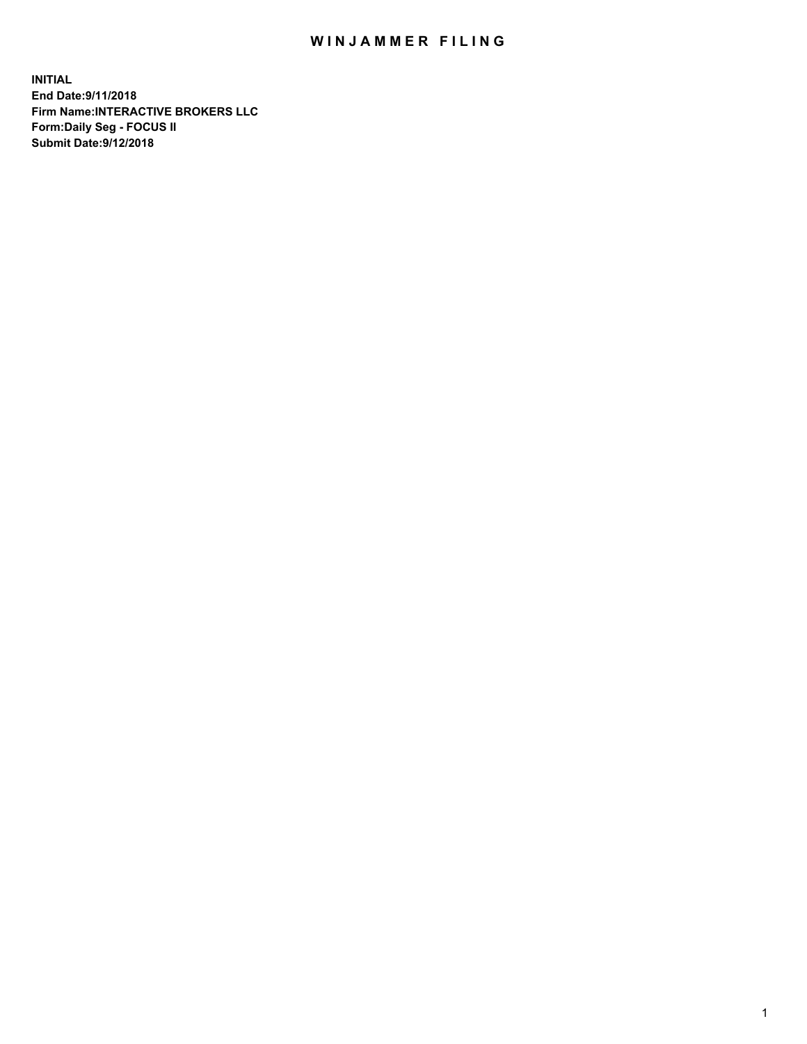## WIN JAMMER FILING

**INITIAL End Date:9/11/2018 Firm Name:INTERACTIVE BROKERS LLC Form:Daily Seg - FOCUS II Submit Date:9/12/2018**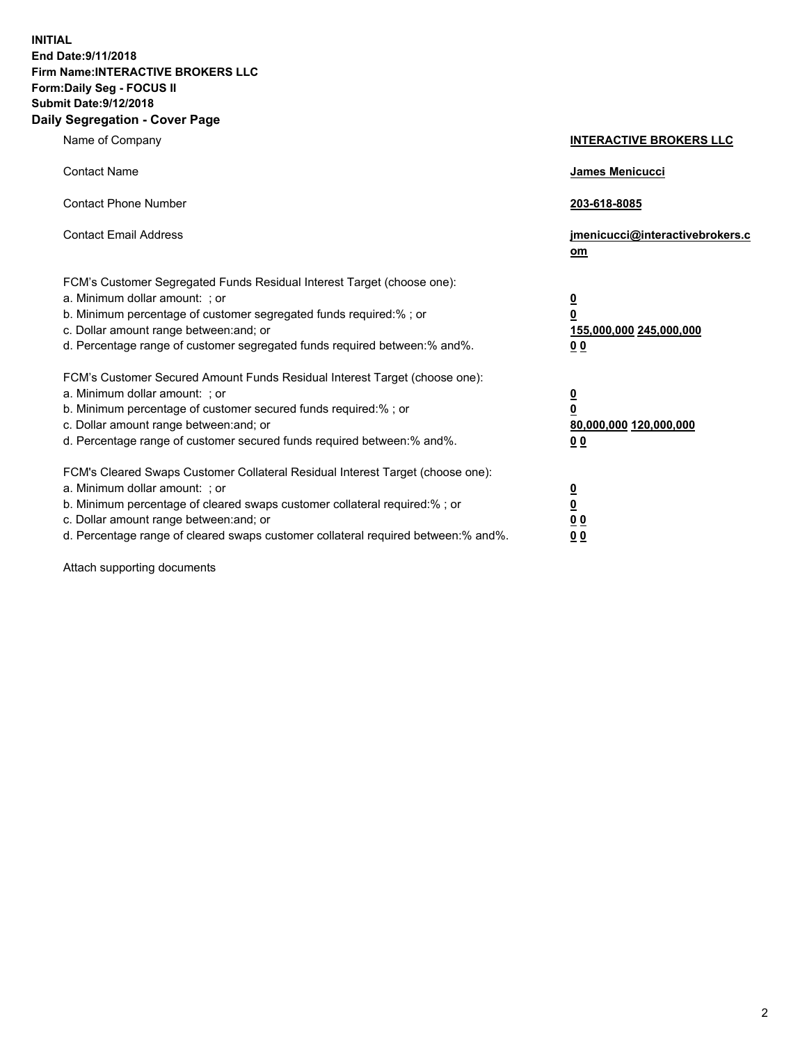**INITIAL End Date:9/11/2018 Firm Name:INTERACTIVE BROKERS LLC Form:Daily Seg - FOCUS II Submit Date:9/12/2018 Daily Segregation - Cover Page**

| Name of Company                                                                                                                                                                                                                                                                                                                | <b>INTERACTIVE BROKERS LLC</b>                                                                  |
|--------------------------------------------------------------------------------------------------------------------------------------------------------------------------------------------------------------------------------------------------------------------------------------------------------------------------------|-------------------------------------------------------------------------------------------------|
| <b>Contact Name</b>                                                                                                                                                                                                                                                                                                            | James Menicucci                                                                                 |
| <b>Contact Phone Number</b>                                                                                                                                                                                                                                                                                                    | 203-618-8085                                                                                    |
| <b>Contact Email Address</b>                                                                                                                                                                                                                                                                                                   | jmenicucci@interactivebrokers.c<br>om                                                           |
| FCM's Customer Segregated Funds Residual Interest Target (choose one):<br>a. Minimum dollar amount: ; or<br>b. Minimum percentage of customer segregated funds required:% ; or<br>c. Dollar amount range between: and; or<br>d. Percentage range of customer segregated funds required between:% and%.                         | $\overline{\mathbf{0}}$<br>$\overline{\mathbf{0}}$<br>155,000,000 245,000,000<br>0 <sub>0</sub> |
| FCM's Customer Secured Amount Funds Residual Interest Target (choose one):<br>a. Minimum dollar amount: ; or<br>b. Minimum percentage of customer secured funds required:% ; or<br>c. Dollar amount range between: and; or<br>d. Percentage range of customer secured funds required between:% and%.                           | $\overline{\mathbf{0}}$<br>0<br>80,000,000 120,000,000<br>0 <sub>0</sub>                        |
| FCM's Cleared Swaps Customer Collateral Residual Interest Target (choose one):<br>a. Minimum dollar amount: ; or<br>b. Minimum percentage of cleared swaps customer collateral required:% ; or<br>c. Dollar amount range between: and; or<br>d. Percentage range of cleared swaps customer collateral required between:% and%. | $\overline{\mathbf{0}}$<br><u>0</u><br>$\underline{0}$ $\underline{0}$<br>00                    |

Attach supporting documents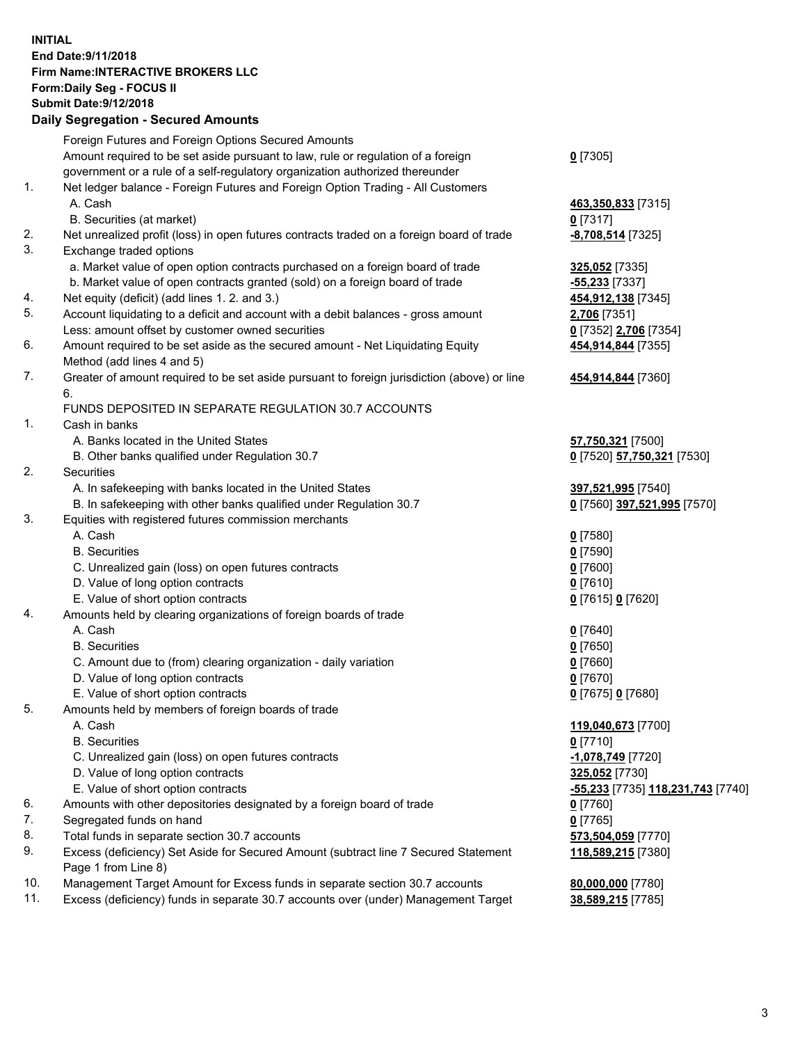## **INITIAL End Date:9/11/2018 Firm Name:INTERACTIVE BROKERS LLC Form:Daily Seg - FOCUS II Submit Date:9/12/2018 Daily Segregation - Secured Amounts**

|     | Daily Segregation - Secured Amounts                                                         |                                                |
|-----|---------------------------------------------------------------------------------------------|------------------------------------------------|
|     | Foreign Futures and Foreign Options Secured Amounts                                         |                                                |
|     | Amount required to be set aside pursuant to law, rule or regulation of a foreign            | $0$ [7305]                                     |
|     | government or a rule of a self-regulatory organization authorized thereunder                |                                                |
| 1.  | Net ledger balance - Foreign Futures and Foreign Option Trading - All Customers             |                                                |
|     | A. Cash                                                                                     | 463,350,833 [7315]                             |
|     | B. Securities (at market)                                                                   | $0$ [7317]                                     |
| 2.  | Net unrealized profit (loss) in open futures contracts traded on a foreign board of trade   | -8,708,514 [7325]                              |
| 3.  | Exchange traded options                                                                     |                                                |
|     | a. Market value of open option contracts purchased on a foreign board of trade              | 325,052 [7335]                                 |
|     | b. Market value of open contracts granted (sold) on a foreign board of trade                | -55,233 [7337]                                 |
| 4.  | Net equity (deficit) (add lines 1. 2. and 3.)                                               | 454,912,138 [7345]                             |
| 5.  | Account liquidating to a deficit and account with a debit balances - gross amount           | 2,706 [7351]                                   |
|     | Less: amount offset by customer owned securities                                            | 0 [7352] 2,706 [7354]                          |
| 6.  | Amount required to be set aside as the secured amount - Net Liquidating Equity              | 454,914,844 [7355]                             |
|     | Method (add lines 4 and 5)                                                                  |                                                |
| 7.  | Greater of amount required to be set aside pursuant to foreign jurisdiction (above) or line | 454,914,844 [7360]                             |
|     | 6.                                                                                          |                                                |
|     | FUNDS DEPOSITED IN SEPARATE REGULATION 30.7 ACCOUNTS                                        |                                                |
| 1.  | Cash in banks                                                                               |                                                |
|     | A. Banks located in the United States                                                       | 57,750,321 [7500]                              |
|     | B. Other banks qualified under Regulation 30.7                                              | 0 [7520] 57,750,321 [7530]                     |
| 2.  | Securities                                                                                  |                                                |
|     | A. In safekeeping with banks located in the United States                                   | 397,521,995 [7540]                             |
|     | B. In safekeeping with other banks qualified under Regulation 30.7                          | 0 [7560] 397,521,995 [7570]                    |
| 3.  | Equities with registered futures commission merchants                                       |                                                |
|     | A. Cash                                                                                     | $0$ [7580]                                     |
|     | <b>B.</b> Securities                                                                        | $0$ [7590]                                     |
|     | C. Unrealized gain (loss) on open futures contracts                                         | $0$ [7600]                                     |
|     | D. Value of long option contracts                                                           | $0$ [7610]                                     |
|     | E. Value of short option contracts                                                          | 0 [7615] 0 [7620]                              |
| 4.  | Amounts held by clearing organizations of foreign boards of trade                           |                                                |
|     | A. Cash                                                                                     | $0$ [7640]                                     |
|     | <b>B.</b> Securities                                                                        | $0$ [7650]                                     |
|     | C. Amount due to (from) clearing organization - daily variation                             | $0$ [7660]                                     |
|     | D. Value of long option contracts                                                           | $0$ [7670]                                     |
|     | E. Value of short option contracts                                                          | 0 [7675] 0 [7680]                              |
| 5.  | Amounts held by members of foreign boards of trade                                          |                                                |
|     | A. Cash                                                                                     | 119,040,673 [7700]                             |
|     | <b>B.</b> Securities                                                                        | $0$ [7710]                                     |
|     | C. Unrealized gain (loss) on open futures contracts                                         | -1,078,749 [7720]                              |
|     | D. Value of long option contracts                                                           | 325,052 [7730]                                 |
|     | E. Value of short option contracts                                                          | <mark>-55,233</mark> [7735] 118,231,743 [7740] |
| 6.  | Amounts with other depositories designated by a foreign board of trade                      | 0 [7760]                                       |
| 7.  | Segregated funds on hand                                                                    | $0$ [7765]                                     |
| 8.  | Total funds in separate section 30.7 accounts                                               | 573,504,059 [7770]                             |
| 9.  | Excess (deficiency) Set Aside for Secured Amount (subtract line 7 Secured Statement         | 118,589,215 [7380]                             |
| 10. | Page 1 from Line 8)                                                                         |                                                |
| 11. | Management Target Amount for Excess funds in separate section 30.7 accounts                 | 80,000,000 [7780]                              |
|     | Excess (deficiency) funds in separate 30.7 accounts over (under) Management Target          | 38,589,215 [7785]                              |
|     |                                                                                             |                                                |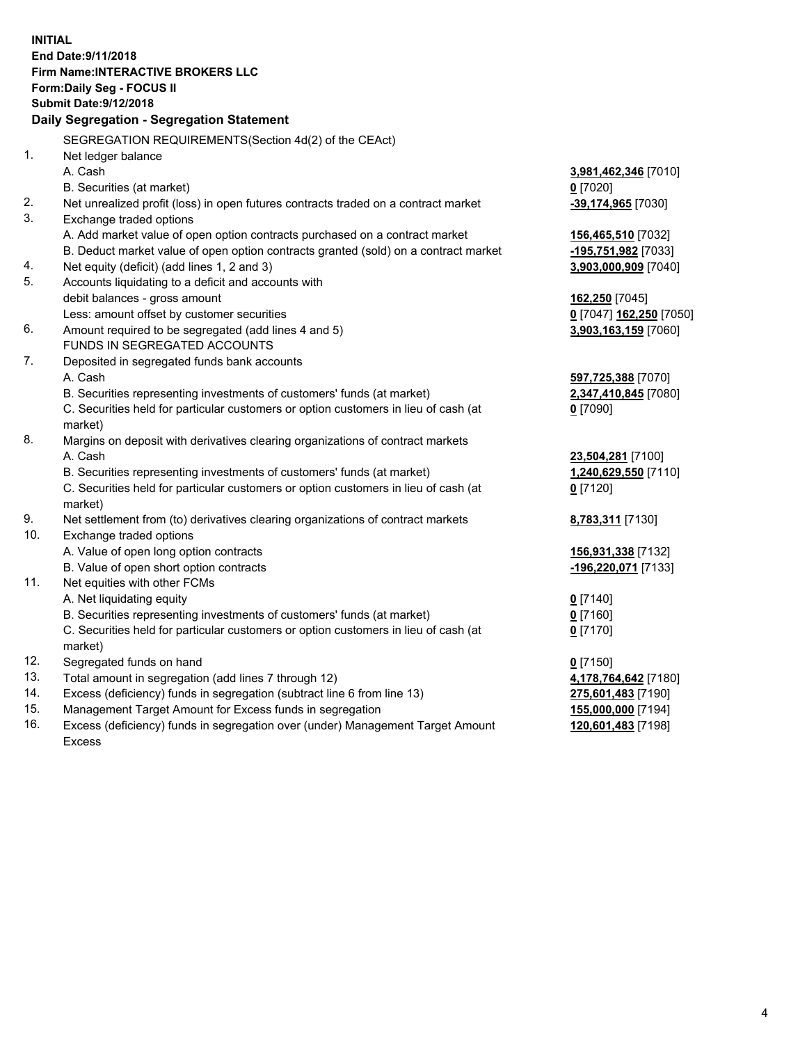**INITIAL End Date:9/11/2018 Firm Name:INTERACTIVE BROKERS LLC Form:Daily Seg - FOCUS II Submit Date:9/12/2018 Daily Segregation - Segregation Statement** SEGREGATION REQUIREMENTS(Section 4d(2) of the CEAct) 1. Net ledger balance A. Cash **3,981,462,346** [7010] B. Securities (at market) **0** [7020] 2. Net unrealized profit (loss) in open futures contracts traded on a contract market **-39,174,965** [7030] 3. Exchange traded options A. Add market value of open option contracts purchased on a contract market **156,465,510** [7032] B. Deduct market value of open option contracts granted (sold) on a contract market **-195,751,982** [7033] 4. Net equity (deficit) (add lines 1, 2 and 3) **3,903,000,909** [7040] 5. Accounts liquidating to a deficit and accounts with debit balances - gross amount **162,250** [7045] Less: amount offset by customer securities **0** [7047] **162,250** [7050] 6. Amount required to be segregated (add lines 4 and 5) **3,903,163,159** [7060] FUNDS IN SEGREGATED ACCOUNTS 7. Deposited in segregated funds bank accounts A. Cash **597,725,388** [7070] B. Securities representing investments of customers' funds (at market) **2,347,410,845** [7080] C. Securities held for particular customers or option customers in lieu of cash (at market) **0** [7090] 8. Margins on deposit with derivatives clearing organizations of contract markets A. Cash **23,504,281** [7100] B. Securities representing investments of customers' funds (at market) **1,240,629,550** [7110] C. Securities held for particular customers or option customers in lieu of cash (at market) **0** [7120] 9. Net settlement from (to) derivatives clearing organizations of contract markets **8,783,311** [7130] 10. Exchange traded options A. Value of open long option contracts **156,931,338** [7132] B. Value of open short option contracts **-196,220,071** [7133] 11. Net equities with other FCMs A. Net liquidating equity **0** [7140] B. Securities representing investments of customers' funds (at market) **0** [7160] C. Securities held for particular customers or option customers in lieu of cash (at market) **0** [7170] 12. Segregated funds on hand **0** [7150] 13. Total amount in segregation (add lines 7 through 12) **4,178,764,642** [7180] 14. Excess (deficiency) funds in segregation (subtract line 6 from line 13) **275,601,483** [7190] 15. Management Target Amount for Excess funds in segregation **155,000,000** [7194] **120,601,483** [7198]

16. Excess (deficiency) funds in segregation over (under) Management Target Amount Excess